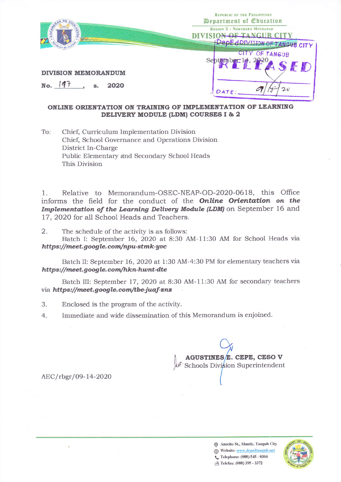

# ONLINE ORIENTATION ON TRAINING OF IMPLEMENTATION OF LEARNING DELIVERY MODULE (LDM) COURSES I & 2

To: Chief, Curriculum Implementation Division Chief, School Governance and Operations Division District In-Charge Public Elementary and Secondary School Heads This Division

Relative to Memorandum-OSEC-NEAP-OD-2020-0618, this Office  $\mathbf{1}$ . informs the field for the conduct of the **Online Orientation** on the Implementation of the Learning Delivery Module (LDM) on September 16 and 17, 2020 for all School Heads and Teachers.

2. The schedule of the activity is as follows:

Batch I: September 16, 2020 at 8:30 AM-11:30 AM for School Heads via https://meet.google.com/npu-stmk-yvc

Batch II: September 16, 2020 at 1:30 AM-4:30 PM for elementary teachers via https://meet.google.com/hkn-hwnt-dte

Batch III: September 17, 2020 at 8:30 AM-11:30 AM for secondary teachers via https://meet.google.com/tbe-juaf-znz

- 3. Enclosed is the program of the activity.
- Immediate and wide dissemination of this Memorandum is enjoined.  $4.$

AGUSTINES E. CEPE, CESO V Schools Division Superintendent

AEC/rbgr/09-14-2020

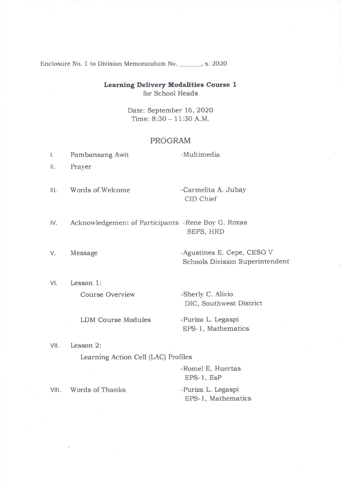Enclosure No. 1 to Division Memorandum No. \_\_\_\_\_\_, s. 2020

# **Learning Delivery Modalities Course 1** for School Heads

Date: September 16, 2020 Time: 8:30 - 11:30 A.M.

### PROGRAM

- $\mathsf{L}$ Pambansang Awit
- $II.$ Prayer

Words of Welcome  $III.$ 

-Carmelita A. Jubay CID Chief

-Multimedia

- IV. Acknowledgement of Participants -Rene Boy G. Roxas SEPS, HRD
- V. Message

VII.

-Agustines E. Cepe, CESO V Schools Division Superintendent

VI. Lesson 1: -Sherly C. Alivio **Course Overview** 

**LDM Course Modules** 

DIC, Southwest District -Puriza L. Legaspi

EPS-1, Mathematics Lesson 2:

Learning Action Cell (LAC) Profiles

-Romel E. Huertas EPS-1, EsP Words of Thanks -Puriza L. Legaspi VIII. EPS-1, Mathematics